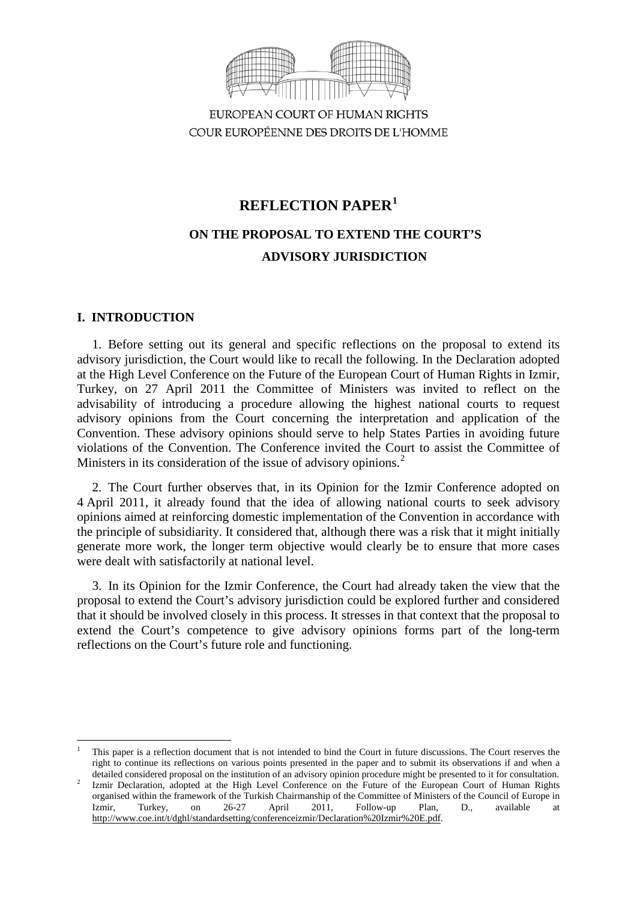

EUROPEAN COURT OF HUMAN RIGHTS COUR EUROPÉENNE DES DROITS DE L'HOMME

# **REFLECTION PAPER[1](#page-0-0)**

# **ON THE PROPOSAL TO EXTEND THE COURT'S ADVISORY JURISDICTION**

# **I. INTRODUCTION**

1. Before setting out its general and specific reflections on the proposal to extend its advisory jurisdiction, the Court would like to recall the following. In the Declaration adopted at the High Level Conference on the Future of the European Court of Human Rights in Izmir, Turkey, on 27 April 2011 the Committee of Ministers was invited to reflect on the advisability of introducing a procedure allowing the highest national courts to request advisory opinions from the Court concerning the interpretation and application of the Convention. These advisory opinions should serve to help States Parties in avoiding future violations of the Convention. The Conference invited the Court to assist the Committee of Ministers in its consideration of the issue of advisory opinions.<sup>[2](#page-0-1)</sup>

2. The Court further observes that, in its Opinion for the Izmir Conference adopted on 4 April 2011, it already found that the idea of allowing national courts to seek advisory opinions aimed at reinforcing domestic implementation of the Convention in accordance with the principle of subsidiarity. It considered that, although there was a risk that it might initially generate more work, the longer term objective would clearly be to ensure that more cases were dealt with satisfactorily at national level.

3. In its Opinion for the Izmir Conference, the Court had already taken the view that the proposal to extend the Court's advisory jurisdiction could be explored further and considered that it should be involved closely in this process. It stresses in that context that the proposal to extend the Court's competence to give advisory opinions forms part of the long-term reflections on the Court's future role and functioning.

<span id="page-0-0"></span><sup>1</sup> This paper is a reflection document that is not intended to bind the Court in future discussions. The Court reserves the right to continue its reflections on various points presented in the paper and to submit its observations if and when a -

<span id="page-0-1"></span>detailed considered proposal on the institution of an advisory opinion procedure might be presented to it for consultation.<br>Izmir Declaration, adopted at the High Level Conference on the Future of the European Court of Hum organised within the framework of the Turkish Chairmanship of the Committee of Ministers of the Council of Europe in Izmir, Turkey, on 26-27 April 2011, Follow-up Plan, D., available at [http://www.coe.int/t/dghl/standardsetting/conferenceizmir/Declaration%20Izmir%20E.pdf.](http://www.coe.int/t/dghl/standardsetting/conferenceizmir/Declaration%20Izmir%20E.pdf)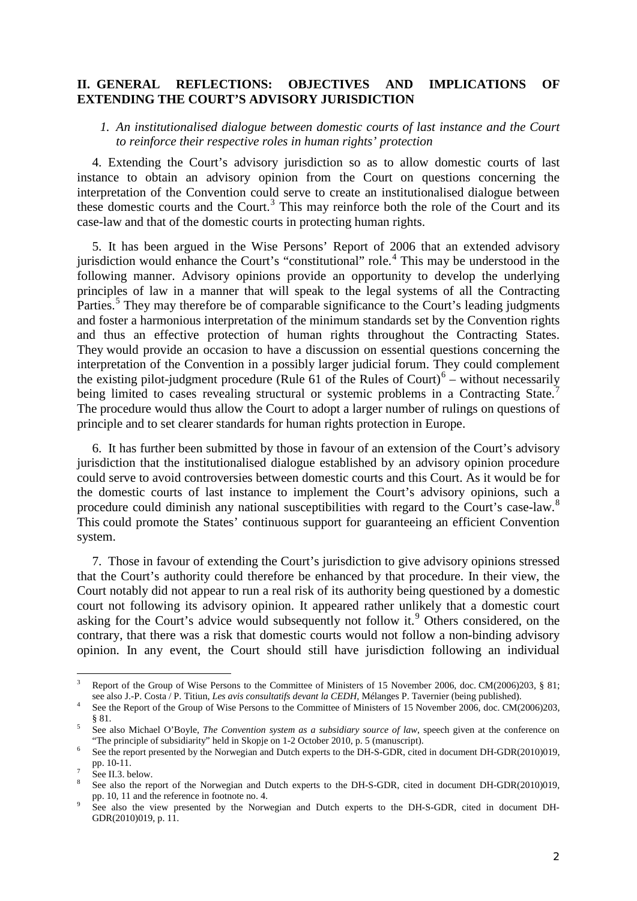# **II. GENERAL REFLECTIONS: OBJECTIVES AND IMPLICATIONS OF EXTENDING THE COURT'S ADVISORY JURISDICTION**

# *1. An institutionalised dialogue between domestic courts of last instance and the Court to reinforce their respective roles in human rights' protection*

4. Extending the Court's advisory jurisdiction so as to allow domestic courts of last instance to obtain an advisory opinion from the Court on questions concerning the interpretation of the Convention could serve to create an institutionalised dialogue between these domestic courts and the Court.<sup>[3](#page-1-0)</sup> This may reinforce both the role of the Court and its case-law and that of the domestic courts in protecting human rights.

5. It has been argued in the Wise Persons' Report of 2006 that an extended advisory jurisdiction would enhance the Court's "constitutional" role.<sup>[4](#page-1-1)</sup> This may be understood in the following manner. Advisory opinions provide an opportunity to develop the underlying principles of law in a manner that will speak to the legal systems of all the Contracting Parties.<sup>[5](#page-1-2)</sup> They may therefore be of comparable significance to the Court's leading judgments and foster a harmonious interpretation of the minimum standards set by the Convention rights and thus an effective protection of human rights throughout the Contracting States. They would provide an occasion to have a discussion on essential questions concerning the interpretation of the Convention in a possibly larger judicial forum. They could complement the existing pilot-judgment procedure (Rule [6](#page-1-3)1 of the Rules of Court) $6$  – without necessarily being limited to cases revealing structural or systemic problems in a Contracting State.<sup>[7](#page-1-4)</sup> The procedure would thus allow the Court to adopt a larger number of rulings on questions of principle and to set clearer standards for human rights protection in Europe.

6. It has further been submitted by those in favour of an extension of the Court's advisory jurisdiction that the institutionalised dialogue established by an advisory opinion procedure could serve to avoid controversies between domestic courts and this Court. As it would be for the domestic courts of last instance to implement the Court's advisory opinions, such a procedure could diminish any national susceptibilities with regard to the Court's case-law.[8](#page-1-5) This could promote the States' continuous support for guaranteeing an efficient Convention system.

7. Those in favour of extending the Court's jurisdiction to give advisory opinions stressed that the Court's authority could therefore be enhanced by that procedure. In their view, the Court notably did not appear to run a real risk of its authority being questioned by a domestic court not following its advisory opinion. It appeared rather unlikely that a domestic court asking for the Court's advice would subsequently not follow it.<sup>[9](#page-1-6)</sup> Others considered, on the contrary, that there was a risk that domestic courts would not follow a non-binding advisory opinion. In any event, the Court should still have jurisdiction following an individual

<span id="page-1-0"></span>Report of the Group of Wise Persons to the Committee of Ministers of 15 November 2006, doc. CM(2006)203, § 81; see also J.-P. Costa / P. Titiun, Les avis consultatifs devant la CEDH, Mélanges P. Tavernier (being published)  $\overline{3}$ 

<span id="page-1-1"></span><sup>&</sup>lt;sup>4</sup> See the Report of the Group of Wise Persons to the Committee of Ministers of 15 November 2006, doc. CM(2006)203,

<span id="page-1-2"></span><sup>§ 81.&</sup>lt;br>5 See also Michael O'Boyle, *The Convention system as a subsidiary source of law*, speech given at the conference on "The principle of subsidiarity" held in Skopje on 1-2 October 2010, p. 5 (manuscript).

<span id="page-1-3"></span>See the report presented by the Norwegian and Dutch experts to the DH-S-GDR, cited in document DH-GDR(2010)019, pp. 10-11.

<span id="page-1-5"></span><span id="page-1-4"></span>See II.3. below. 8 See also the report of the Norwegian and Dutch experts to the DH-S-GDR, cited in document DH-GDR(2010)019, pp. 10, 11 and the reference in footnote no. 4.

<span id="page-1-6"></span>See also the view presented by the Norwegian and Dutch experts to the DH-S-GDR, cited in document DH-GDR(2010)019, p. 11.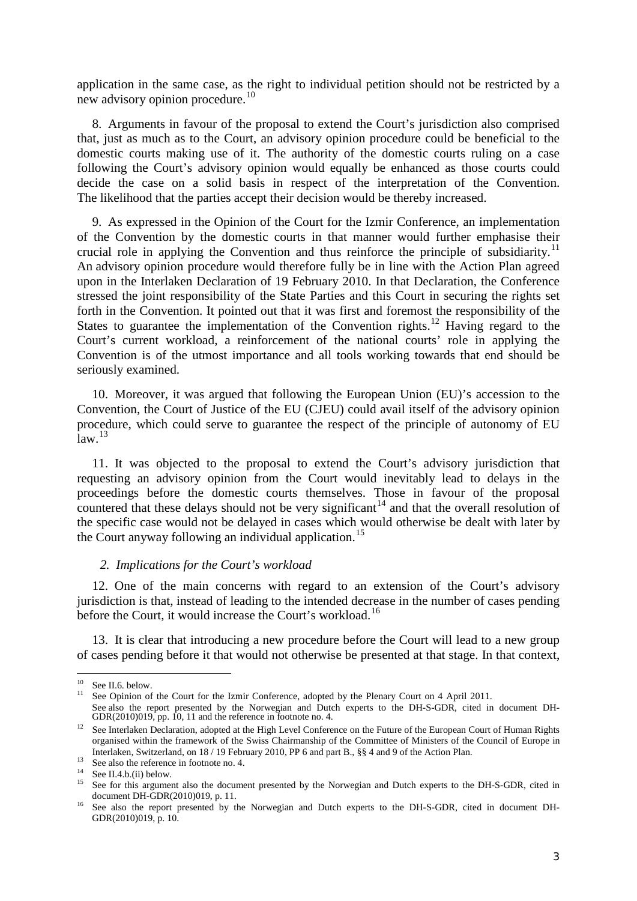application in the same case, as the right to individual petition should not be restricted by a new advisory opinion procedure.<sup>[10](#page-2-0)</sup>

8. Arguments in favour of the proposal to extend the Court's jurisdiction also comprised that, just as much as to the Court, an advisory opinion procedure could be beneficial to the domestic courts making use of it. The authority of the domestic courts ruling on a case following the Court's advisory opinion would equally be enhanced as those courts could decide the case on a solid basis in respect of the interpretation of the Convention. The likelihood that the parties accept their decision would be thereby increased.

9. As expressed in the Opinion of the Court for the Izmir Conference, an implementation of the Convention by the domestic courts in that manner would further emphasise their crucial role in applying the Convention and thus reinforce the principle of subsidiarity.<sup>[11](#page-2-1)</sup> An advisory opinion procedure would therefore fully be in line with the Action Plan agreed upon in the Interlaken Declaration of 19 February 2010. In that Declaration, the Conference stressed the joint responsibility of the State Parties and this Court in securing the rights set forth in the Convention. It pointed out that it was first and foremost the responsibility of the States to guarantee the implementation of the Convention rights.<sup>[12](#page-2-2)</sup> Having regard to the Court's current workload, a reinforcement of the national courts' role in applying the Convention is of the utmost importance and all tools working towards that end should be seriously examined.

10. Moreover, it was argued that following the European Union (EU)'s accession to the Convention, the Court of Justice of the EU (CJEU) could avail itself of the advisory opinion procedure, which could serve to guarantee the respect of the principle of autonomy of EU  $\mathrm{law}$ <sup>[13](#page-2-3)</sup>

11. It was objected to the proposal to extend the Court's advisory jurisdiction that requesting an advisory opinion from the Court would inevitably lead to delays in the proceedings before the domestic courts themselves. Those in favour of the proposal countered that these delays should not be very significant<sup>[14](#page-2-4)</sup> and that the overall resolution of the specific case would not be delayed in cases which would otherwise be dealt with later by the Court anyway following an individual application.<sup>[15](#page-2-5)</sup>

### *2. Implications for the Court's workload*

12. One of the main concerns with regard to an extension of the Court's advisory jurisdiction is that, instead of leading to the intended decrease in the number of cases pending before the Court, it would increase the Court's workload.<sup>[16](#page-2-6)</sup>

13. It is clear that introducing a new procedure before the Court will lead to a new group of cases pending before it that would not otherwise be presented at that stage. In that context,

<span id="page-2-0"></span> $10$  See II.6. below.

<span id="page-2-1"></span><sup>&</sup>lt;sup>11</sup> See Opinion of the Court for the Izmir Conference, adopted by the Plenary Court on 4 April 2011. See also the report presented by the Norwegian and Dutch experts to the DH-S-GDR, cited in document DH-GDR(2010)019, pp. 10, 11 and the reference in footnote no. 4.

<span id="page-2-2"></span><sup>&</sup>lt;sup>12</sup> See Interlaken Declaration, adopted at the High Level Conference on the Future of the European Court of Human Rights organised within the framework of the Swiss Chairmanship of the Committee of Ministers of the Council of Europe in Interlaken, Switzerland, on 18 / 19 February 2010, PP 6 and part B., §§ 4 and 9 of the Action Plan.

<span id="page-2-5"></span>

<span id="page-2-4"></span><span id="page-2-3"></span><sup>&</sup>lt;sup>13</sup> See also the reference in footnote no. 4.<br><sup>14</sup> See II.4.b.(ii) below.<br><sup>15</sup> See for this argument also the document presented by the Norwegian and Dutch experts to the DH-S-GDR, cited in document DH-GDR(2010)019, p. 11.<br><sup>16</sup> See also the report presented by the Norwegian and Dutch experts to the DH-S-GDR, cited in document DH-

<span id="page-2-6"></span>GDR(2010)019, p. 10.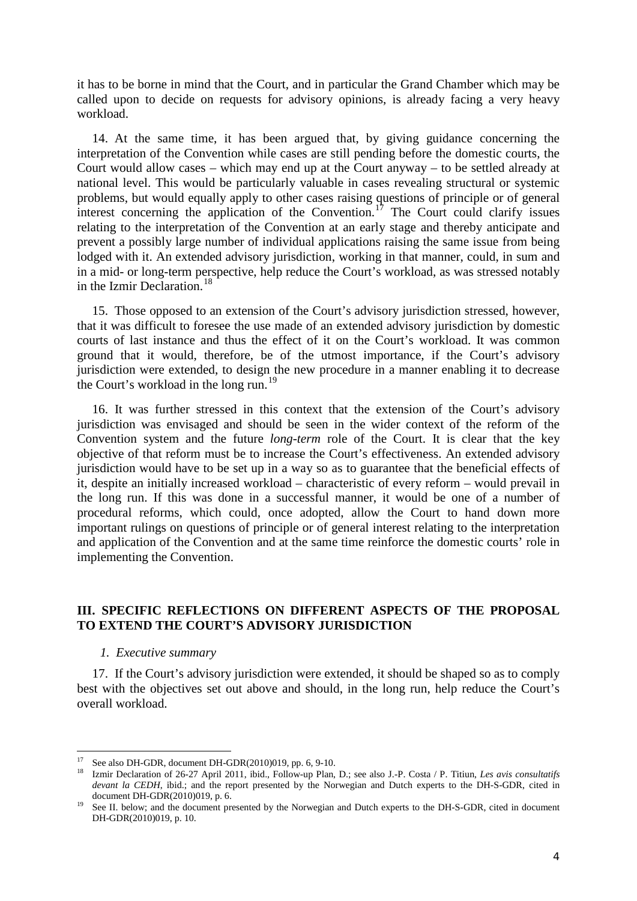it has to be borne in mind that the Court, and in particular the Grand Chamber which may be called upon to decide on requests for advisory opinions, is already facing a very heavy workload.

14. At the same time, it has been argued that, by giving guidance concerning the interpretation of the Convention while cases are still pending before the domestic courts, the Court would allow cases – which may end up at the Court anyway – to be settled already at national level. This would be particularly valuable in cases revealing structural or systemic problems, but would equally apply to other cases raising questions of principle or of general interest concerning the application of the Convention.<sup>[17](#page-3-0)</sup> The Court could clarify issues relating to the interpretation of the Convention at an early stage and thereby anticipate and prevent a possibly large number of individual applications raising the same issue from being lodged with it. An extended advisory jurisdiction, working in that manner, could, in sum and in a mid- or long-term perspective, help reduce the Court's workload, as was stressed notably in the Izmir Declaration.<sup>[18](#page-3-1)</sup>

15. Those opposed to an extension of the Court's advisory jurisdiction stressed, however, that it was difficult to foresee the use made of an extended advisory jurisdiction by domestic courts of last instance and thus the effect of it on the Court's workload. It was common ground that it would, therefore, be of the utmost importance, if the Court's advisory jurisdiction were extended, to design the new procedure in a manner enabling it to decrease the Court's workload in the long run.<sup>[19](#page-3-2)</sup>

16. It was further stressed in this context that the extension of the Court's advisory jurisdiction was envisaged and should be seen in the wider context of the reform of the Convention system and the future *long-term* role of the Court. It is clear that the key objective of that reform must be to increase the Court's effectiveness. An extended advisory jurisdiction would have to be set up in a way so as to guarantee that the beneficial effects of it, despite an initially increased workload – characteristic of every reform – would prevail in the long run. If this was done in a successful manner, it would be one of a number of procedural reforms, which could, once adopted, allow the Court to hand down more important rulings on questions of principle or of general interest relating to the interpretation and application of the Convention and at the same time reinforce the domestic courts' role in implementing the Convention.

# **III. SPECIFIC REFLECTIONS ON DIFFERENT ASPECTS OF THE PROPOSAL TO EXTEND THE COURT'S ADVISORY JURISDICTION**

### *1. Executive summary*

17. If the Court's advisory jurisdiction were extended, it should be shaped so as to comply best with the objectives set out above and should, in the long run, help reduce the Court's overall workload.

<span id="page-3-0"></span><sup>&</sup>lt;sup>17</sup> See also DH-GDR, document DH-GDR(2010)019, pp. 6, 9-10.

<span id="page-3-1"></span><sup>&</sup>lt;sup>18</sup> Izmir Declaration of 26-27 April 2011, ibid., Follow-up Plan, D.; see also J.-P. Costa / P. Titiun, *Les avis consultatifs devant la CEDH*, ibid.; and the report presented by the Norwegian and Dutch experts to the DH-S-GDR, cited in document DH-GDR(2010)019, p. 6.<br><sup>19</sup> See II. below; and the document presented by the Norwegian and Dutch experts to the DH-S-GDR, cited in document

<span id="page-3-2"></span>DH-GDR(2010)019, p. 10.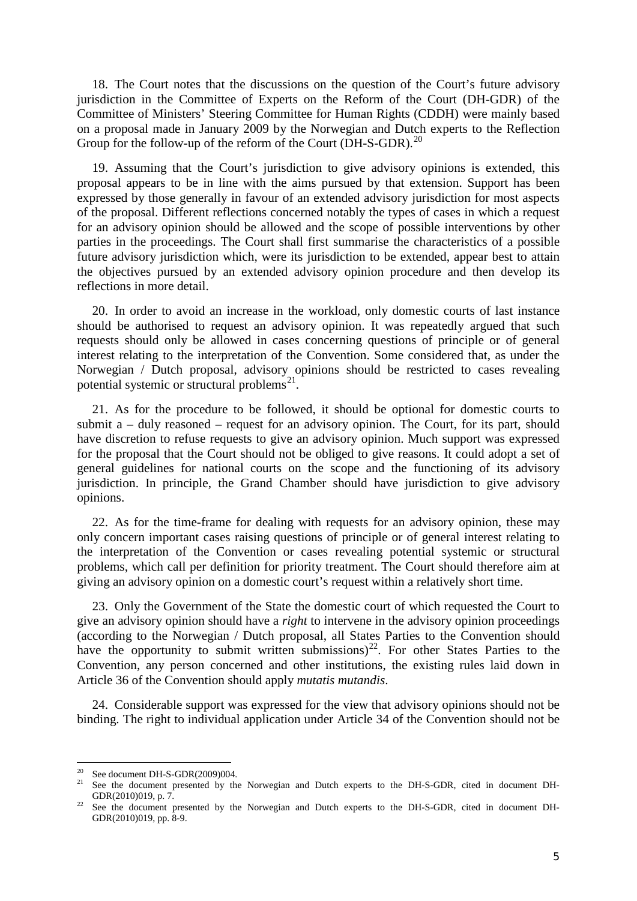18. The Court notes that the discussions on the question of the Court's future advisory jurisdiction in the Committee of Experts on the Reform of the Court (DH-GDR) of the Committee of Ministers' Steering Committee for Human Rights (CDDH) were mainly based on a proposal made in January 2009 by the Norwegian and Dutch experts to the Reflection Group for the follow-up of the reform of the Court (DH-S-GDR).<sup>[20](#page-4-0)</sup>

19. Assuming that the Court's jurisdiction to give advisory opinions is extended, this proposal appears to be in line with the aims pursued by that extension. Support has been expressed by those generally in favour of an extended advisory jurisdiction for most aspects of the proposal. Different reflections concerned notably the types of cases in which a request for an advisory opinion should be allowed and the scope of possible interventions by other parties in the proceedings. The Court shall first summarise the characteristics of a possible future advisory jurisdiction which, were its jurisdiction to be extended, appear best to attain the objectives pursued by an extended advisory opinion procedure and then develop its reflections in more detail.

20. In order to avoid an increase in the workload, only domestic courts of last instance should be authorised to request an advisory opinion. It was repeatedly argued that such requests should only be allowed in cases concerning questions of principle or of general interest relating to the interpretation of the Convention. Some considered that, as under the Norwegian / Dutch proposal, advisory opinions should be restricted to cases revealing potential systemic or structural problems<sup>21</sup>.

21. As for the procedure to be followed, it should be optional for domestic courts to submit a – duly reasoned – request for an advisory opinion. The Court, for its part, should have discretion to refuse requests to give an advisory opinion. Much support was expressed for the proposal that the Court should not be obliged to give reasons. It could adopt a set of general guidelines for national courts on the scope and the functioning of its advisory jurisdiction. In principle, the Grand Chamber should have jurisdiction to give advisory opinions.

22. As for the time-frame for dealing with requests for an advisory opinion, these may only concern important cases raising questions of principle or of general interest relating to the interpretation of the Convention or cases revealing potential systemic or structural problems, which call per definition for priority treatment. The Court should therefore aim at giving an advisory opinion on a domestic court's request within a relatively short time.

23. Only the Government of the State the domestic court of which requested the Court to give an advisory opinion should have a *right* to intervene in the advisory opinion proceedings (according to the Norwegian / Dutch proposal, all States Parties to the Convention should have the opportunity to submit written submissions)<sup>[22](#page-4-2)</sup>. For other States Parties to the Convention, any person concerned and other institutions, the existing rules laid down in Article 36 of the Convention should apply *mutatis mutandis*.

24. Considerable support was expressed for the view that advisory opinions should not be binding. The right to individual application under Article 34 of the Convention should not be

<span id="page-4-0"></span><sup>&</sup>lt;sup>20</sup> See document DH-S-GDR(2009)004.

<span id="page-4-1"></span><sup>&</sup>lt;sup>21</sup> See the document presented by the Norwegian and Dutch experts to the DH-S-GDR, cited in document DH-GDR(2010)019, p. 7.<br><sup>22</sup> See the document presented by the Norwegian and Dutch experts to the DH-S-GDR, cited in document DH-

<span id="page-4-2"></span>GDR(2010)019, pp. 8-9.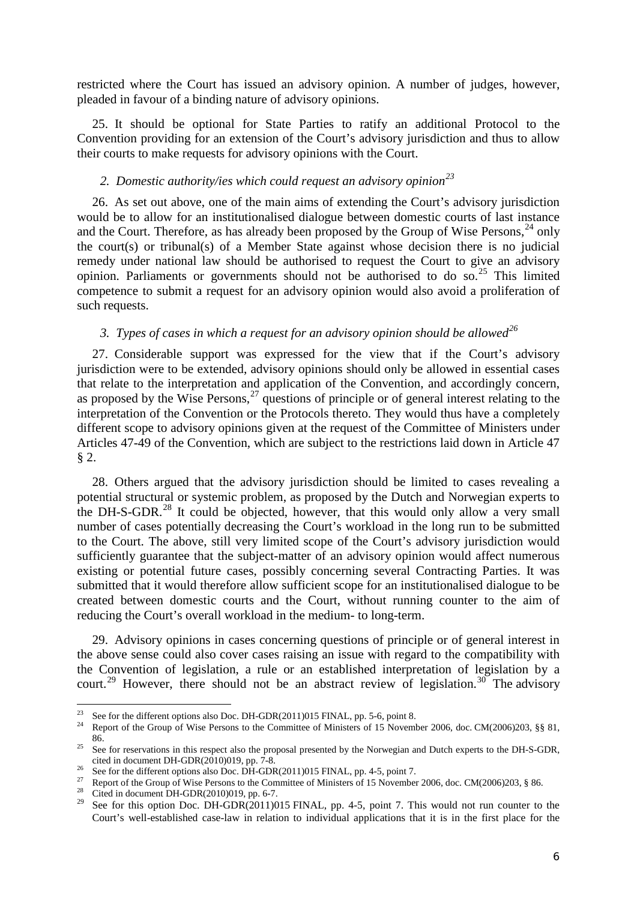restricted where the Court has issued an advisory opinion. A number of judges, however, pleaded in favour of a binding nature of advisory opinions.

25. It should be optional for State Parties to ratify an additional Protocol to the Convention providing for an extension of the Court's advisory jurisdiction and thus to allow their courts to make requests for advisory opinions with the Court.

# *2. Domestic authority/ies which could request an advisory opinion[23](#page-5-0)*

26. As set out above, one of the main aims of extending the Court's advisory jurisdiction would be to allow for an institutionalised dialogue between domestic courts of last instance and the Court. Therefore, as has already been proposed by the Group of Wise Persons,  $^{24}$  $^{24}$  $^{24}$  only the court(s) or tribunal(s) of a Member State against whose decision there is no judicial remedy under national law should be authorised to request the Court to give an advisory opinion. Parliaments or governments should not be authorised to do so.<sup>[25](#page-5-2)</sup> This limited competence to submit a request for an advisory opinion would also avoid a proliferation of such requests.

### *3. Types of cases in which a request for an advisory opinion should be allowed[26](#page-5-3)*

27. Considerable support was expressed for the view that if the Court's advisory jurisdiction were to be extended, advisory opinions should only be allowed in essential cases that relate to the interpretation and application of the Convention, and accordingly concern, as proposed by the Wise Persons,  $27$  questions of principle or of general interest relating to the interpretation of the Convention or the Protocols thereto. They would thus have a completely different scope to advisory opinions given at the request of the Committee of Ministers under Articles 47-49 of the Convention, which are subject to the restrictions laid down in Article 47 § 2.

28. Others argued that the advisory jurisdiction should be limited to cases revealing a potential structural or systemic problem, as proposed by the Dutch and Norwegian experts to the DH-S-GDR.<sup>[28](#page-5-5)</sup> It could be objected, however, that this would only allow a very small number of cases potentially decreasing the Court's workload in the long run to be submitted to the Court. The above, still very limited scope of the Court's advisory jurisdiction would sufficiently guarantee that the subject-matter of an advisory opinion would affect numerous existing or potential future cases, possibly concerning several Contracting Parties. It was submitted that it would therefore allow sufficient scope for an institutionalised dialogue to be created between domestic courts and the Court, without running counter to the aim of reducing the Court's overall workload in the medium- to long-term.

29. Advisory opinions in cases concerning questions of principle or of general interest in the above sense could also cover cases raising an issue with regard to the compatibility with the Convention of legislation, a rule or an established interpretation of legislation by a court.<sup>[29](#page-5-6)</sup> However, there should not be an abstract review of legislation.<sup>[30](#page-5-7)</sup> The advisory

<span id="page-5-7"></span> $\overline{2}$ 

<span id="page-5-0"></span><sup>&</sup>lt;sup>23</sup> See for the different options also Doc. DH-GDR(2011)015 FINAL, pp. 5-6, point 8.<br><sup>24</sup> Report of the Group of Wise Persons to the Committee of Ministers of 15 November 2006, doc. CM(2006)203, §§ 81,

<span id="page-5-2"></span><span id="page-5-1"></span><sup>86.</sup> <sup>25</sup> See for reservations in this respect also the proposal presented by the Norwegian and Dutch experts to the DH-S-GDR, cited in document DH-GDR(2010)019, pp. 7-8.<br>
<sup>26</sup> See for the different options also Doc. DH-GDR(2011)015 FINAL, pp. 4-5, point 7.<br>
<sup>27</sup> Report of the Group of Wise Persons to the Committee of Ministers of 15 November 200

<span id="page-5-3"></span>

<span id="page-5-5"></span><span id="page-5-4"></span>

<span id="page-5-6"></span>See for this option Doc. DH-GDR(2011)015 FINAL, pp. 4-5, point 7. This would not run counter to the Court's well-established case-law in relation to individual applications that it is in the first place for the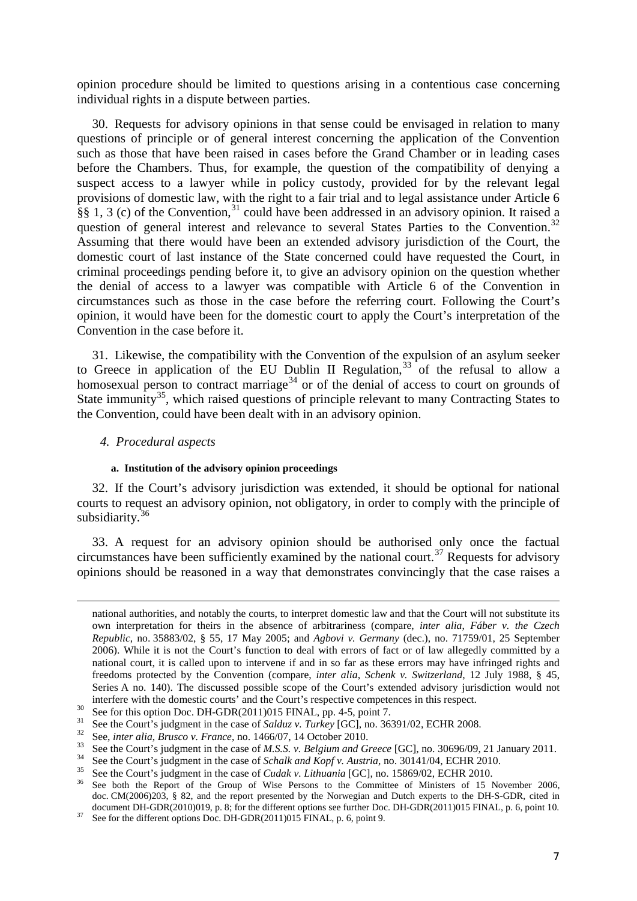opinion procedure should be limited to questions arising in a contentious case concerning individual rights in a dispute between parties.

30. Requests for advisory opinions in that sense could be envisaged in relation to many questions of principle or of general interest concerning the application of the Convention such as those that have been raised in cases before the Grand Chamber or in leading cases before the Chambers. Thus, for example, the question of the compatibility of denying a suspect access to a lawyer while in policy custody, provided for by the relevant legal provisions of domestic law, with the right to a fair trial and to legal assistance under Article 6 §§ 1, 3 (c) of the Convention,  $31$  could have been addressed in an advisory opinion. It raised a question of general interest and relevance to several States Parties to the Convention.<sup>[32](#page-6-1)</sup> Assuming that there would have been an extended advisory jurisdiction of the Court, the domestic court of last instance of the State concerned could have requested the Court, in criminal proceedings pending before it, to give an advisory opinion on the question whether the denial of access to a lawyer was compatible with Article 6 of the Convention in circumstances such as those in the case before the referring court. Following the Court's opinion, it would have been for the domestic court to apply the Court's interpretation of the Convention in the case before it.

31. Likewise, the compatibility with the Convention of the expulsion of an asylum seeker to Greece in application of the EU Dublin II Regulation,<sup>[33](#page-6-2)</sup> of the refusal to allow a homosexual person to contract marriage<sup>[34](#page-6-3)</sup> or of the denial of access to court on grounds of State immunity<sup>[35](#page-6-4)</sup>, which raised questions of principle relevant to many Contracting States to the Convention, could have been dealt with in an advisory opinion.

*4. Procedural aspects*

-

#### **a. Institution of the advisory opinion proceedings**

32. If the Court's advisory jurisdiction was extended, it should be optional for national courts to request an advisory opinion, not obligatory, in order to comply with the principle of subsidiarity.<sup>[36](#page-6-5)</sup>

33. A request for an advisory opinion should be authorised only once the factual circumstances have been sufficiently examined by the national court.<sup>[37](#page-6-6)</sup> Requests for advisory opinions should be reasoned in a way that demonstrates convincingly that the case raises a

national authorities, and notably the courts, to interpret domestic law and that the Court will not substitute its own interpretation for theirs in the absence of arbitrariness (compare, *inter alia*, *Fáber v. the Czech Republic*, no. 35883/02, § 55, 17 May 2005; and *Agbovi v. Germany* (dec.), no. 71759/01, 25 September 2006). While it is not the Court's function to deal with errors of fact or of law allegedly committed by a national court, it is called upon to intervene if and in so far as these errors may have infringed rights and freedoms protected by the Convention (compare, *inter alia*, *Schenk v. Switzerland*, 12 July 1988, § 45, Series A no. 140). The discussed possible scope of the Court's extended advisory jurisdiction would not interfere with the domestic courts' and the Court's respective competences in this respect.<br>
<sup>30</sup> See for this option Doc. DH-GDR(2011)015 FINAL, pp. 4-5, point 7.<br>
<sup>31</sup> See the Court's judgment in the case of *Salduz v.* 

<span id="page-6-0"></span>

<span id="page-6-1"></span>

<span id="page-6-2"></span>

<span id="page-6-3"></span>

<span id="page-6-4"></span>

<span id="page-6-5"></span>doc. CM(2006)203, § 82, and the report presented by the Norwegian and Dutch experts to the DH-S-GDR, cited in document DH-GDR(2010)019, p. 8; for the different options see further Doc. DH-GDR(2011)015 FINAL, p. 6, point 10.<br><sup>37</sup> See for the different options Doc. DH-GDR(2011)015 FINAL, p. 6, point 9.

<span id="page-6-6"></span>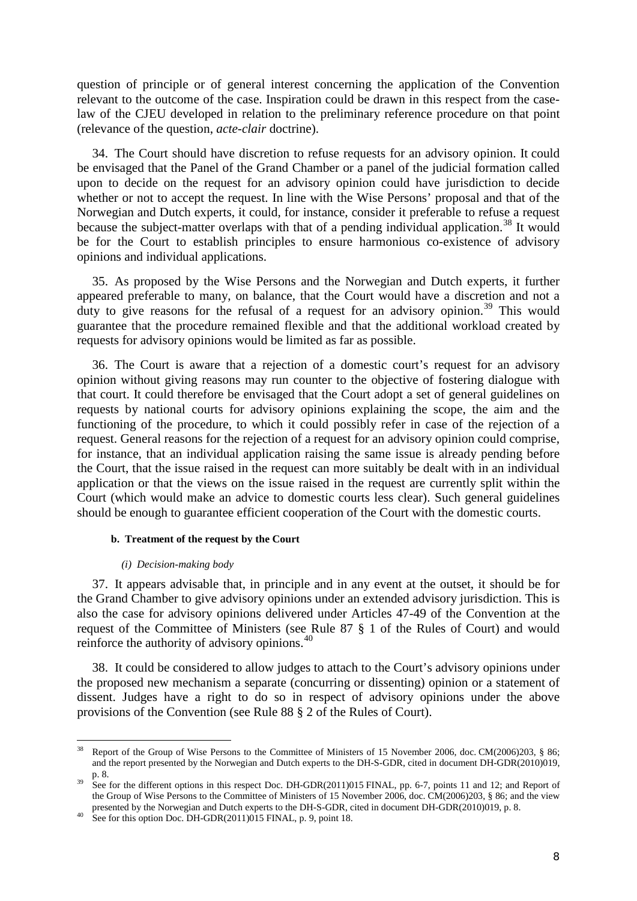question of principle or of general interest concerning the application of the Convention relevant to the outcome of the case. Inspiration could be drawn in this respect from the caselaw of the CJEU developed in relation to the preliminary reference procedure on that point (relevance of the question, *acte-clair* doctrine).

34. The Court should have discretion to refuse requests for an advisory opinion. It could be envisaged that the Panel of the Grand Chamber or a panel of the judicial formation called upon to decide on the request for an advisory opinion could have jurisdiction to decide whether or not to accept the request. In line with the Wise Persons' proposal and that of the Norwegian and Dutch experts, it could, for instance, consider it preferable to refuse a request because the subject-matter overlaps with that of a pending individual application.<sup>[38](#page-7-0)</sup> It would be for the Court to establish principles to ensure harmonious co-existence of advisory opinions and individual applications.

35. As proposed by the Wise Persons and the Norwegian and Dutch experts, it further appeared preferable to many, on balance, that the Court would have a discretion and not a duty to give reasons for the refusal of a request for an advisory opinion.<sup>[39](#page-7-1)</sup> This would guarantee that the procedure remained flexible and that the additional workload created by requests for advisory opinions would be limited as far as possible.

36. The Court is aware that a rejection of a domestic court's request for an advisory opinion without giving reasons may run counter to the objective of fostering dialogue with that court. It could therefore be envisaged that the Court adopt a set of general guidelines on requests by national courts for advisory opinions explaining the scope, the aim and the functioning of the procedure, to which it could possibly refer in case of the rejection of a request. General reasons for the rejection of a request for an advisory opinion could comprise, for instance, that an individual application raising the same issue is already pending before the Court, that the issue raised in the request can more suitably be dealt with in an individual application or that the views on the issue raised in the request are currently split within the Court (which would make an advice to domestic courts less clear). Such general guidelines should be enough to guarantee efficient cooperation of the Court with the domestic courts.

#### **b. Treatment of the request by the Court**

#### *(i) Decision-making body*

-

37. It appears advisable that, in principle and in any event at the outset, it should be for the Grand Chamber to give advisory opinions under an extended advisory jurisdiction. This is also the case for advisory opinions delivered under Articles 47-49 of the Convention at the request of the Committee of Ministers (see Rule 87 § 1 of the Rules of Court) and would reinforce the authority of advisory opinions.<sup>[40](#page-7-2)</sup>

38. It could be considered to allow judges to attach to the Court's advisory opinions under the proposed new mechanism a separate (concurring or dissenting) opinion or a statement of dissent. Judges have a right to do so in respect of advisory opinions under the above provisions of the Convention (see Rule 88 § 2 of the Rules of Court).

<span id="page-7-0"></span><sup>38</sup> Report of the Group of Wise Persons to the Committee of Ministers of 15 November 2006, doc. CM(2006)203, § 86; and the report presented by the Norwegian and Dutch experts to the DH-S-GDR, cited in document DH-GDR(2010)019,

<span id="page-7-1"></span>p. 8.<br>See for the different options in this respect Doc. DH-GDR(2011)015 FINAL, pp. 6-7, points 11 and 12; and Report of the Group of Wise Persons to the Committee of Ministers of 15 November 2006, doc. CM(2006)203, § 86; and the view presented by the Norwegian and Dutch experts to the DH-S-GDR, cited in document DH-GDR(2010)019, p. 8. See for this option Doc. DH-GDR(2011)015 FINAL, p. 9, point 18.

<span id="page-7-2"></span>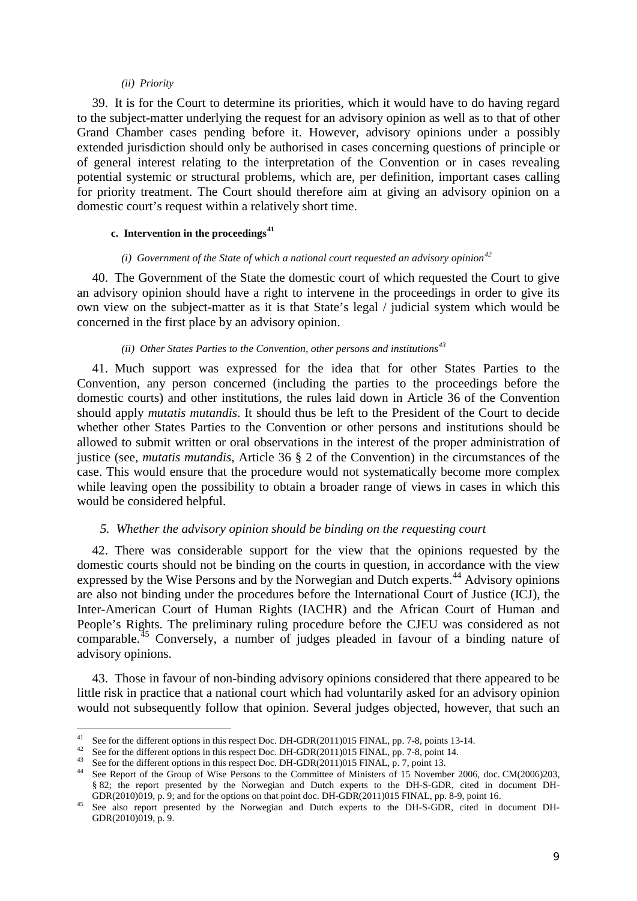#### *(ii) Priority*

39. It is for the Court to determine its priorities, which it would have to do having regard to the subject-matter underlying the request for an advisory opinion as well as to that of other Grand Chamber cases pending before it. However, advisory opinions under a possibly extended jurisdiction should only be authorised in cases concerning questions of principle or of general interest relating to the interpretation of the Convention or in cases revealing potential systemic or structural problems, which are, per definition, important cases calling for priority treatment. The Court should therefore aim at giving an advisory opinion on a domestic court's request within a relatively short time.

# **c. Intervention in the proceedings[41](#page-8-0)**

### *(i) Government of the State of which a national court requested an advisory opinion[42](#page-8-1)*

40. The Government of the State the domestic court of which requested the Court to give an advisory opinion should have a right to intervene in the proceedings in order to give its own view on the subject-matter as it is that State's legal / judicial system which would be concerned in the first place by an advisory opinion.

# *(ii) Other States Parties to the Convention, other persons and institutions[43](#page-8-2)*

41. Much support was expressed for the idea that for other States Parties to the Convention, any person concerned (including the parties to the proceedings before the domestic courts) and other institutions, the rules laid down in Article 36 of the Convention should apply *mutatis mutandis*. It should thus be left to the President of the Court to decide whether other States Parties to the Convention or other persons and institutions should be allowed to submit written or oral observations in the interest of the proper administration of justice (see, *mutatis mutandis*, Article 36 § 2 of the Convention) in the circumstances of the case. This would ensure that the procedure would not systematically become more complex while leaving open the possibility to obtain a broader range of views in cases in which this would be considered helpful.

### *5. Whether the advisory opinion should be binding on the requesting court*

42. There was considerable support for the view that the opinions requested by the domestic courts should not be binding on the courts in question, in accordance with the view expressed by the Wise Persons and by the Norwegian and Dutch experts.<sup>[44](#page-8-3)</sup> Advisory opinions are also not binding under the procedures before the International Court of Justice (ICJ), the Inter-American Court of Human Rights (IACHR) and the African Court of Human and People's Rights. The preliminary ruling procedure before the CJEU was considered as not comparable.[45](#page-8-4) Conversely, a number of judges pleaded in favour of a binding nature of advisory opinions.

43. Those in favour of non-binding advisory opinions considered that there appeared to be little risk in practice that a national court which had voluntarily asked for an advisory opinion would not subsequently follow that opinion. Several judges objected, however, that such an

 $41$ 

<span id="page-8-3"></span><span id="page-8-2"></span>

<span id="page-8-1"></span><span id="page-8-0"></span><sup>&</sup>lt;sup>41</sup> See for the different options in this respect Doc. DH-GDR(2011)015 FINAL, pp. 7-8, points 13-14.<br><sup>42</sup> See for the different options in this respect Doc. DH-GDR(2011)015 FINAL, pp. 7-8, point 14.<br><sup>43</sup> See for the diff § 82; the report presented by the Norwegian and Dutch experts to the DH-S-GDR, cited in document DH-GDR(2010)019, p. 9; and for the options on that point doc. DH-GDR(2011)015 FINAL, pp. 8-9, point 16.

<span id="page-8-4"></span><sup>&</sup>lt;sup>45</sup> See also report presented by the Norwegian and Dutch experts to the DH-S-GDR, cited in document DH-GDR(2010)019, p. 9.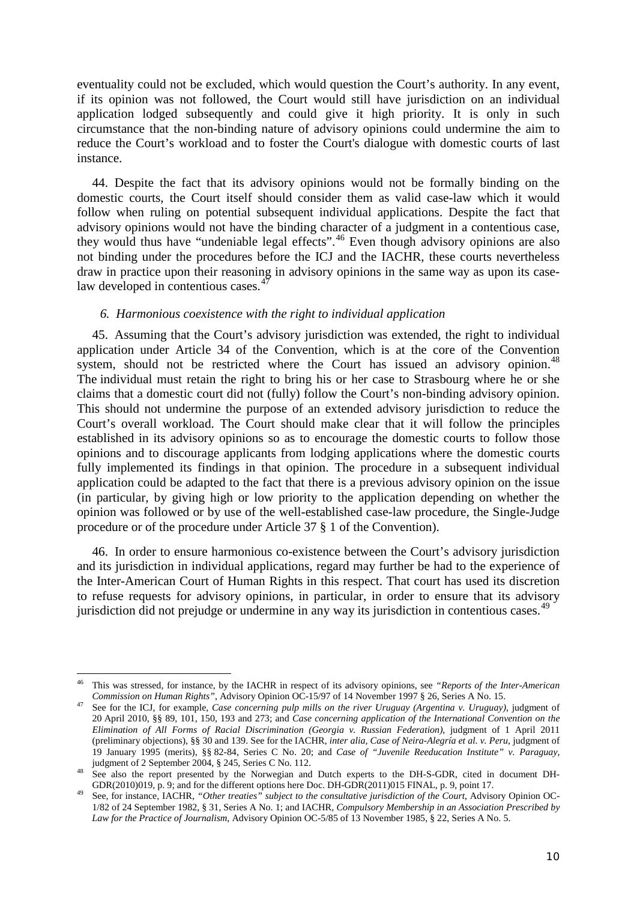eventuality could not be excluded, which would question the Court's authority. In any event, if its opinion was not followed, the Court would still have jurisdiction on an individual application lodged subsequently and could give it high priority. It is only in such circumstance that the non-binding nature of advisory opinions could undermine the aim to reduce the Court's workload and to foster the Court's dialogue with domestic courts of last instance.

44. Despite the fact that its advisory opinions would not be formally binding on the domestic courts, the Court itself should consider them as valid case-law which it would follow when ruling on potential subsequent individual applications. Despite the fact that advisory opinions would not have the binding character of a judgment in a contentious case, they would thus have "undeniable legal effects".[46](#page-9-0) Even though advisory opinions are also not binding under the procedures before the ICJ and the IACHR, these courts nevertheless draw in practice upon their reasoning in advisory opinions in the same way as upon its caselaw developed in contentious cases. $47$ 

# *6. Harmonious coexistence with the right to individual application*

45. Assuming that the Court's advisory jurisdiction was extended, the right to individual application under Article 34 of the Convention, which is at the core of the Convention system, should not be restricted where the Court has issued an advisory opinion. $^{48}$  $^{48}$  $^{48}$ The individual must retain the right to bring his or her case to Strasbourg where he or she claims that a domestic court did not (fully) follow the Court's non-binding advisory opinion. This should not undermine the purpose of an extended advisory jurisdiction to reduce the Court's overall workload. The Court should make clear that it will follow the principles established in its advisory opinions so as to encourage the domestic courts to follow those opinions and to discourage applicants from lodging applications where the domestic courts fully implemented its findings in that opinion. The procedure in a subsequent individual application could be adapted to the fact that there is a previous advisory opinion on the issue (in particular, by giving high or low priority to the application depending on whether the opinion was followed or by use of the well-established case-law procedure, the Single-Judge procedure or of the procedure under Article 37 § 1 of the Convention).

46. In order to ensure harmonious co-existence between the Court's advisory jurisdiction and its jurisdiction in individual applications, regard may further be had to the experience of the Inter-American Court of Human Rights in this respect. That court has used its discretion to refuse requests for advisory opinions, in particular, in order to ensure that its advisory jurisdiction did not prejudge or undermine in any way its jurisdiction in contentious cases.<sup>[49](#page-9-3)</sup>

<span id="page-9-0"></span><sup>46</sup> This was stressed, for instance, by the IACHR in respect of its advisory opinions, see *"Reports of the Inter-American*  Commission on Human Rights", Advisory Opinion OC-15/97 of 14 November 1997 § 26, Series A No. 15.<br><sup>47</sup> See for the ICJ, for example, *Case concerning pulp mills on the river Uruguay (Argentina v. Uruguay)*, judgment of <u>.</u>

<span id="page-9-1"></span><sup>20</sup> April 2010, §§ 89, 101, 150, 193 and 273; and *Case concerning application of the International Convention on the Elimination of All Forms of Racial Discrimination (Georgia v. Russian Federation)*, judgment of 1 April 2011 (preliminary objections), §§ 30 and 139. See for the IACHR, *inter alia, Case of Neira-Alegría et al. v. Peru*, judgment of 19 January 1995 (merits), §§ 82-84, Series C No. 20; and *Case of "Juvenile Reeducation Institute" v. Paraguay*,

<span id="page-9-2"></span>judgment of 2 September 2004, § 245, Series C No. 112. <sup>48</sup> See also the report presented by the Norwegian and Dutch experts to the DH-S-GDR, cited in document DH-GDR(2010)019, p. 9; and for the different options here Doc. DH-GDR(2011)015 FINAL, p. 9, point 17.<br><sup>49</sup> See, for instance, IACHR, "Other treaties" subject to the consultative jurisdiction of the Court, Advisory Opinion OC-

<span id="page-9-3"></span><sup>1/82</sup> of 24 September 1982, § 31, Series A No. 1; and IACHR, *Compulsory Membership in an Association Prescribed by Law for the Practice of Journalism*, Advisory Opinion OC-5/85 of 13 November 1985, § 22, Series A No. 5.